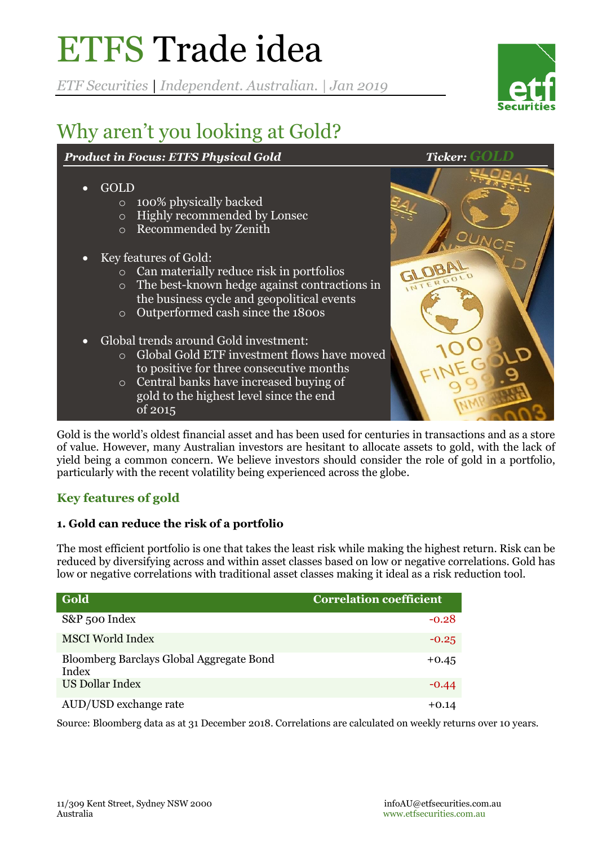# ETFS Trade idea

*ETF Securities | Independent. Australian. | Jan 2019*



## Why aren't you looking at Gold?

#### *Product in Focus: ETFS Physical Gold Ticker: Gold*

| GOLD<br>$\bullet$<br>$\circ$<br>$\circ$<br>$\circ$ | 100% physically backed<br>Highly recommended by Lonsec<br>Recommended by Zenith                                                                                                                                                  |                    |
|----------------------------------------------------|----------------------------------------------------------------------------------------------------------------------------------------------------------------------------------------------------------------------------------|--------------------|
| $\circ$<br>$\circ$                                 | Key features of Gold:<br>Can materially reduce risk in portfolios<br>o The best-known hedge against contractions in<br>the business cycle and geopolitical events<br>Outperformed cash since the 1800s                           | GLOB.<br>INTERGOLD |
| $\circ$                                            | Global trends around Gold investment:<br>Global Gold ETF investment flows have moved<br>to positive for three consecutive months<br>Central banks have increased buying of<br>gold to the highest level since the end<br>of 2015 |                    |

Gold is the world's oldest financial asset and has been used for centuries in transactions and as a store of value. However, many Australian investors are hesitant to allocate assets to gold, with the lack of yield being a common concern. We believe investors should consider the role of gold in a portfolio, particularly with the recent volatility being experienced across the globe.

### **Key features of gold**

#### **1. Gold can reduce the risk of a portfolio**

The most efficient portfolio is one that takes the least risk while making the highest return. Risk can be reduced by diversifying across and within asset classes based on low or negative correlations. Gold has low or negative correlations with traditional asset classes making it ideal as a risk reduction tool.

| Gold                                              | <b>Correlation coefficient</b> |
|---------------------------------------------------|--------------------------------|
| S&P 500 Index                                     | $-0.28$                        |
| <b>MSCI</b> World Index                           | $-0.25$                        |
| Bloomberg Barclays Global Aggregate Bond<br>Index | $+0.45$                        |
| US Dollar Index                                   | $-0.44$                        |
| AUD/USD exchange rate                             | $+0.14$                        |

Source: Bloomberg data as at 31 December 2018. Correlations are calculated on weekly returns over 10 years.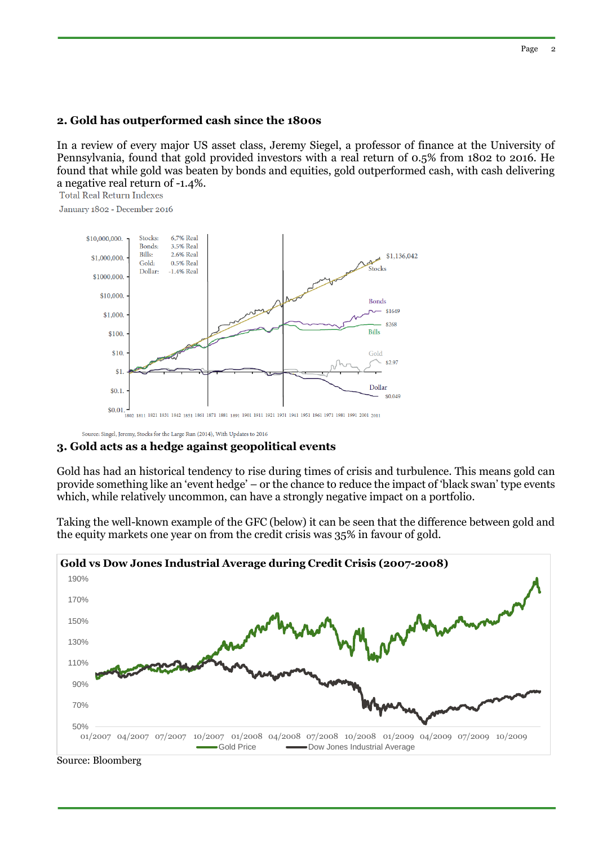#### **2. Gold has outperformed cash since the 1800s**

In a review of every major US asset class, Jeremy Siegel, a professor of finance at the University of Pennsylvania, found that gold provided investors with a real return of 0.5% from 1802 to 2016. He found that while gold was beaten by bonds and equities, gold outperformed cash, with cash delivering a negative real return of -1.4%.<br>Total Real Return Indexes

January 1802 - December 2016



Source: Singel, Jeremy, Stocks for the Large Run (2014), With Updates to 2016

#### **3. Gold acts as a hedge against geopolitical events**

Gold has had an historical tendency to rise during times of crisis and turbulence. This means gold can provide something like an 'event hedge' – or the chance to reduce the impact of 'black swan' type events which, while relatively uncommon, can have a strongly negative impact on a portfolio.

Taking the well-known example of the GFC (below) it can be seen that the difference between gold and the equity markets one year on from the credit crisis was 35% in favour of gold.



Source: Bloomberg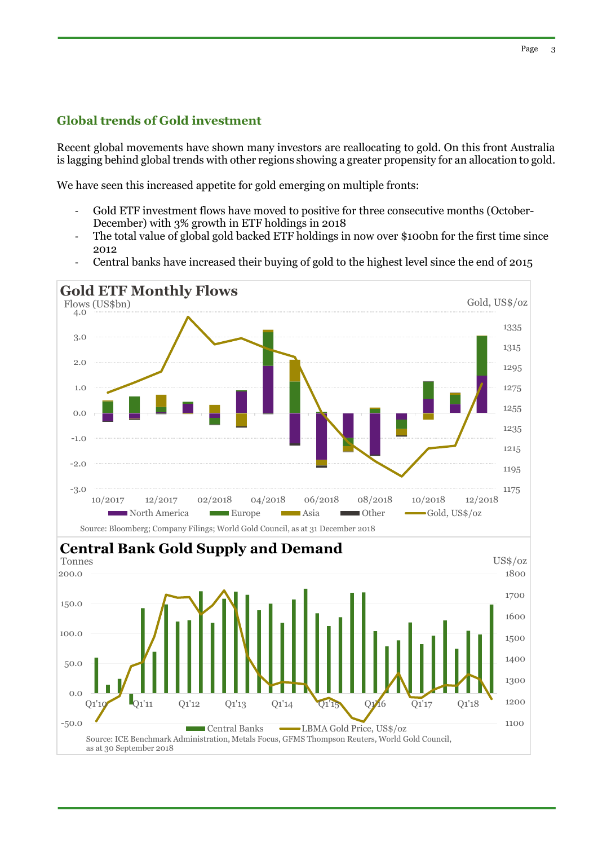#### **Global trends of Gold investment**

Recent global movements have shown many investors are reallocating to gold. On this front Australia is lagging behind global trends with other regions showing a greater propensity for an allocation to gold.

We have seen this increased appetite for gold emerging on multiple fronts:

- Gold ETF investment flows have moved to positive for three consecutive months (October-December) with 3% growth in ETF holdings in 2018
- The total value of global gold backed ETF holdings in now over \$100 bn for the first time since 2012
- Central banks have increased their buying of gold to the highest level since the end of 2015

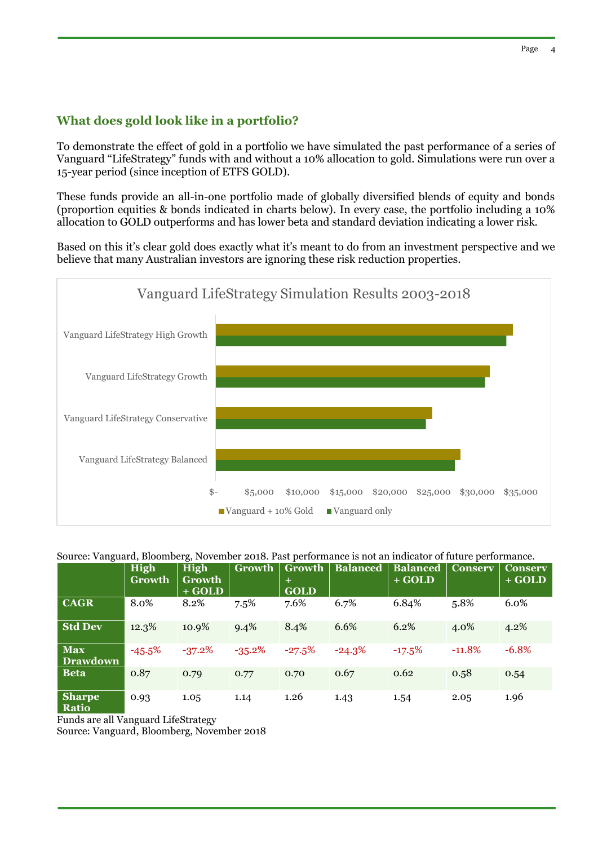#### **What does gold look like in a portfolio?**

To demonstrate the effect of gold in a portfolio we have simulated the past performance of a series of Vanguard "LifeStrategy" funds with and without a 10% allocation to gold. Simulations were run over a 15-year period (since inception of ETFS GOLD).

These funds provide an all-in-one portfolio made of globally diversified blends of equity and bonds (proportion equities & bonds indicated in charts below). In every case, the portfolio including a 10% allocation to GOLD outperforms and has lower beta and standard deviation indicating a lower risk.

Based on this it's clear gold does exactly what it's meant to do from an investment perspective and we believe that many Australian investors are ignoring these risk reduction properties.



#### Source: Vanguard, Bloomberg, November 2018. Past performance is not an indicator of future performance.

|                               | High<br><b>Growth</b> | <b>High</b><br><b>Growth</b><br>$+ GOLD$ | Growth    | Growth<br>$+$<br><b>GOLD</b> | <b>Balanced</b> | <b>Balanced</b><br>$+ GOLD$ | <b>Conserv</b> | <b>Conserv</b><br>$\overline{+ GOLD}$ |
|-------------------------------|-----------------------|------------------------------------------|-----------|------------------------------|-----------------|-----------------------------|----------------|---------------------------------------|
| <b>CAGR</b>                   | 8.0%                  | 8.2%                                     | 7.5%      | 7.6%                         | 6.7%            | 6.84%                       | 5.8%           | 6.0%                                  |
| <b>Std Dev</b>                | 12.3%                 | 10.9%                                    | 9.4%      | 8.4%                         | 6.6%            | 6.2%                        | 4.0%           | 4.2%                                  |
| <b>Max</b><br><b>Drawdown</b> | $-45.5%$              | $-37.2%$                                 | $-35.2\%$ | $-27.5%$                     | $-24.3%$        | $-17.5%$                    | $-11.8%$       | $-6.8\%$                              |
| <b>Beta</b>                   | 0.87                  | 0.79                                     | 0.77      | 0.70                         | 0.67            | 0.62                        | 0.58           | 0.54                                  |
| <b>Sharpe</b><br><b>Ratio</b> | 0.93                  | 1.05                                     | 1.14      | 1.26                         | 1.43            | 1.54                        | 2.05           | 1.96                                  |

Funds are all Vanguard LifeStrategy

Source: Vanguard, Bloomberg, November 2018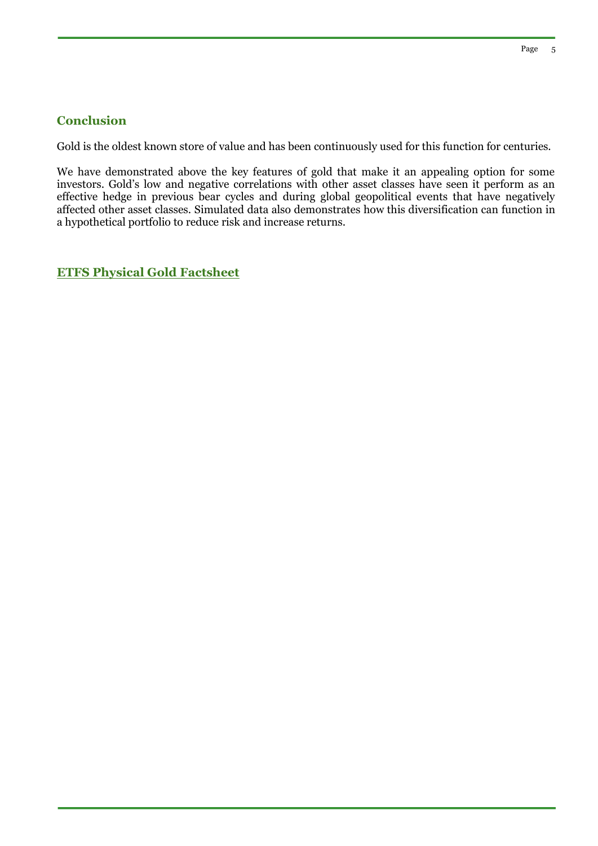#### **Conclusion**

Gold is the oldest known store of value and has been continuously used for this function for centuries.

We have demonstrated above the key features of gold that make it an appealing option for some investors. Gold's low and negative correlations with other asset classes have seen it perform as an effective hedge in previous bear cycles and during global geopolitical events that have negatively affected other asset classes. Simulated data also demonstrates how this diversification can function in a hypothetical portfolio to reduce risk and increase returns.

**[ETFS Physical Gold Factsheet](https://www.etfsecurities.com.au/static/b668b8b204900688791c9ba524048c39-f93b18f9d26750157344d700b751ae04.pdf)**